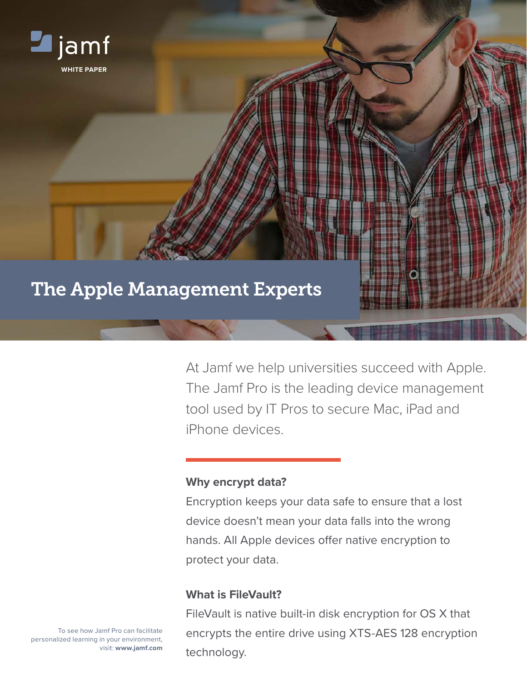

At Jamf we help universities succeed with Apple. The Jamf Pro is the leading device management tool used by IT Pros to secure Mac, iPad and iPhone devices.

## **Why encrypt data?**

Encryption keeps your data safe to ensure that a lost device doesn't mean your data falls into the wrong hands. All Apple devices offer native encryption to protect your data.

# **What is FileVault?**

FileVault is native built-in disk encryption for OS X that encrypts the entire drive using XTS-AES 128 encryption technology.

To see how Jamf Pro can facilitate personalized learning in your environment, visit: **[www.jamf.com](http://www.jamfsoftware.com)**